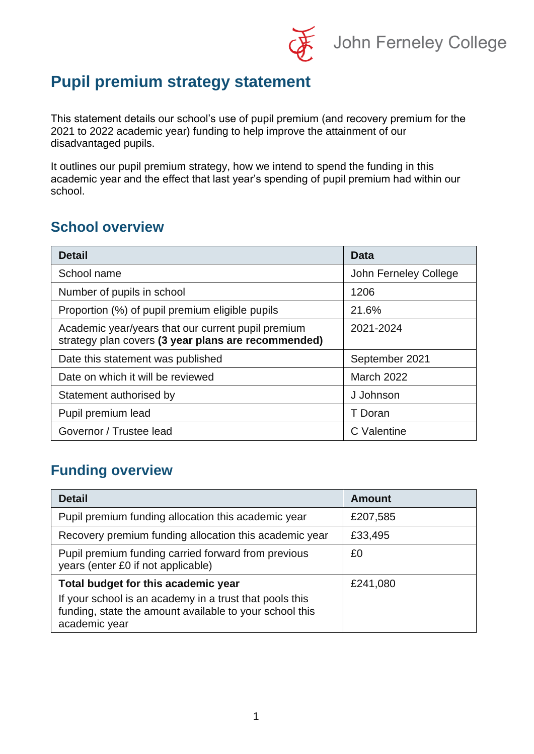John Ferneley College

## **Pupil premium strategy statement**

This statement details our school's use of pupil premium (and recovery premium for the 2021 to 2022 academic year) funding to help improve the attainment of our disadvantaged pupils.

It outlines our pupil premium strategy, how we intend to spend the funding in this academic year and the effect that last year's spending of pupil premium had within our school.

#### **School overview**

| <b>Detail</b>                                                                                             | Data                  |  |
|-----------------------------------------------------------------------------------------------------------|-----------------------|--|
| School name                                                                                               | John Ferneley College |  |
| Number of pupils in school                                                                                | 1206                  |  |
| Proportion (%) of pupil premium eligible pupils                                                           | 21.6%                 |  |
| Academic year/years that our current pupil premium<br>strategy plan covers (3 year plans are recommended) | 2021-2024             |  |
| Date this statement was published                                                                         | September 2021        |  |
| Date on which it will be reviewed                                                                         | <b>March 2022</b>     |  |
| Statement authorised by                                                                                   | J Johnson             |  |
| Pupil premium lead                                                                                        | T Doran               |  |
| Governor / Trustee lead                                                                                   | C Valentine           |  |

#### **Funding overview**

| <b>Detail</b>                                                                                                                       | <b>Amount</b> |
|-------------------------------------------------------------------------------------------------------------------------------------|---------------|
| Pupil premium funding allocation this academic year                                                                                 | £207,585      |
| Recovery premium funding allocation this academic year                                                                              | £33,495       |
| Pupil premium funding carried forward from previous<br>years (enter £0 if not applicable)                                           | £0            |
| Total budget for this academic year                                                                                                 | £241,080      |
| If your school is an academy in a trust that pools this<br>funding, state the amount available to your school this<br>academic year |               |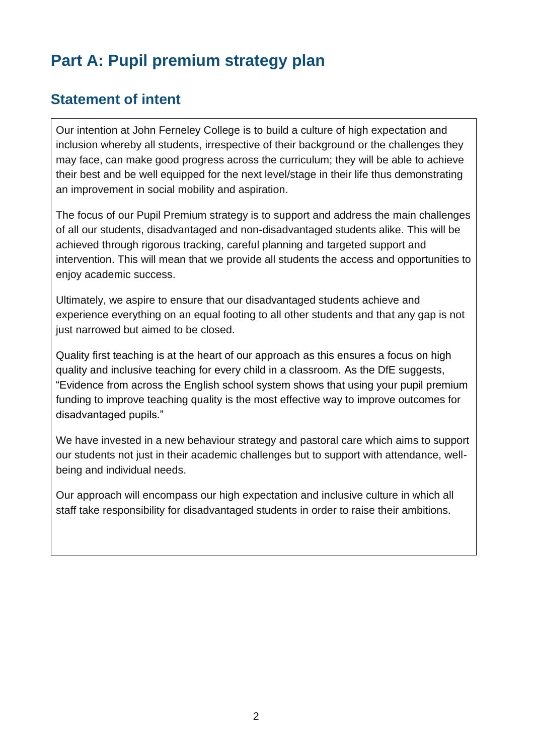# **Part A: Pupil premium strategy plan**

#### **Statement of intent**

Our intention at John Ferneley College is to build a culture of high expectation and inclusion whereby all students, irrespective of their background or the challenges they may face, can make good progress across the curriculum; they will be able to achieve their best and be well equipped for the next level/stage in their life thus demonstrating an improvement in social mobility and aspiration.

The focus of our Pupil Premium strategy is to support and address the main challenges of all our students, disadvantaged and non-disadvantaged students alike. This will be achieved through rigorous tracking, careful planning and targeted support and intervention. This will mean that we provide all students the access and opportunities to enjoy academic success.

Ultimately, we aspire to ensure that our disadvantaged students achieve and experience everything on an equal footing to all other students and that any gap is not just narrowed but aimed to be closed.

Quality first teaching is at the heart of our approach as this ensures a focus on high quality and inclusive teaching for every child in a classroom. As the DfE suggests, "Evidence from across the English school system shows that using your pupil premium funding to improve teaching quality is the most effective way to improve outcomes for disadvantaged pupils."

We have invested in a new behaviour strategy and pastoral care which aims to support our students not just in their academic challenges but to support with attendance, wellbeing and individual needs.

Our approach will encompass our high expectation and inclusive culture in which all staff take responsibility for disadvantaged students in order to raise their ambitions.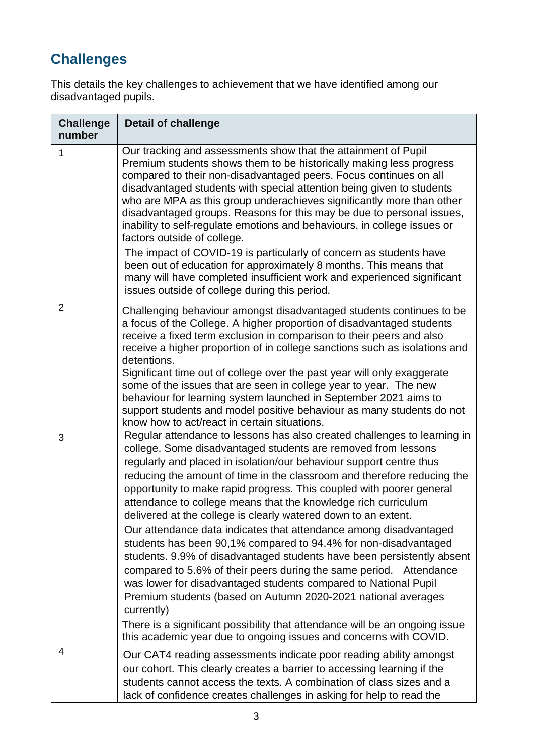## **Challenges**

This details the key challenges to achievement that we have identified among our disadvantaged pupils.

| <b>Challenge</b><br>number | <b>Detail of challenge</b>                                                                                                                                                                                                                                                                                                                                                                                                                                                                                                                                                                                                                                                                                                                                                                                                                                                                                                                                                                                                                                                                               |
|----------------------------|----------------------------------------------------------------------------------------------------------------------------------------------------------------------------------------------------------------------------------------------------------------------------------------------------------------------------------------------------------------------------------------------------------------------------------------------------------------------------------------------------------------------------------------------------------------------------------------------------------------------------------------------------------------------------------------------------------------------------------------------------------------------------------------------------------------------------------------------------------------------------------------------------------------------------------------------------------------------------------------------------------------------------------------------------------------------------------------------------------|
| 1                          | Our tracking and assessments show that the attainment of Pupil<br>Premium students shows them to be historically making less progress<br>compared to their non-disadvantaged peers. Focus continues on all<br>disadvantaged students with special attention being given to students<br>who are MPA as this group underachieves significantly more than other<br>disadvantaged groups. Reasons for this may be due to personal issues,<br>inability to self-regulate emotions and behaviours, in college issues or<br>factors outside of college.<br>The impact of COVID-19 is particularly of concern as students have<br>been out of education for approximately 8 months. This means that<br>many will have completed insufficient work and experienced significant<br>issues outside of college during this period.                                                                                                                                                                                                                                                                                   |
| $\overline{2}$             | Challenging behaviour amongst disadvantaged students continues to be<br>a focus of the College. A higher proportion of disadvantaged students<br>receive a fixed term exclusion in comparison to their peers and also<br>receive a higher proportion of in college sanctions such as isolations and<br>detentions.<br>Significant time out of college over the past year will only exaggerate<br>some of the issues that are seen in college year to year. The new<br>behaviour for learning system launched in September 2021 aims to<br>support students and model positive behaviour as many students do not<br>know how to act/react in certain situations.                                                                                                                                                                                                                                                                                                                                                                                                                                          |
| 3                          | Regular attendance to lessons has also created challenges to learning in<br>college. Some disadvantaged students are removed from lessons<br>regularly and placed in isolation/our behaviour support centre thus<br>reducing the amount of time in the classroom and therefore reducing the<br>opportunity to make rapid progress. This coupled with poorer general<br>attendance to college means that the knowledge rich curriculum<br>delivered at the college is clearly watered down to an extent.<br>Our attendance data indicates that attendance among disadvantaged<br>students has been 90,1% compared to 94.4% for non-disadvantaged<br>students. 9.9% of disadvantaged students have been persistently absent<br>compared to 5.6% of their peers during the same period.<br>Attendance<br>was lower for disadvantaged students compared to National Pupil<br>Premium students (based on Autumn 2020-2021 national averages<br>currently)<br>There is a significant possibility that attendance will be an ongoing issue<br>this academic year due to ongoing issues and concerns with COVID. |
| 4                          | Our CAT4 reading assessments indicate poor reading ability amongst<br>our cohort. This clearly creates a barrier to accessing learning if the<br>students cannot access the texts. A combination of class sizes and a<br>lack of confidence creates challenges in asking for help to read the                                                                                                                                                                                                                                                                                                                                                                                                                                                                                                                                                                                                                                                                                                                                                                                                            |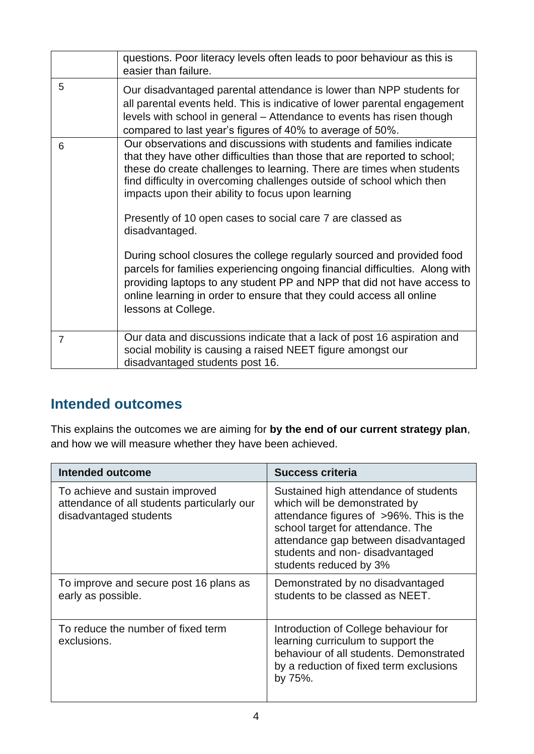|                | questions. Poor literacy levels often leads to poor behaviour as this is<br>easier than failure.                                                                                                                                                                                                                                                                                                                                                                                                                                                                                                                                                                                                                                                                             |
|----------------|------------------------------------------------------------------------------------------------------------------------------------------------------------------------------------------------------------------------------------------------------------------------------------------------------------------------------------------------------------------------------------------------------------------------------------------------------------------------------------------------------------------------------------------------------------------------------------------------------------------------------------------------------------------------------------------------------------------------------------------------------------------------------|
| 5              | Our disadvantaged parental attendance is lower than NPP students for<br>all parental events held. This is indicative of lower parental engagement<br>levels with school in general – Attendance to events has risen though<br>compared to last year's figures of 40% to average of 50%.                                                                                                                                                                                                                                                                                                                                                                                                                                                                                      |
| 6              | Our observations and discussions with students and families indicate<br>that they have other difficulties than those that are reported to school;<br>these do create challenges to learning. There are times when students<br>find difficulty in overcoming challenges outside of school which then<br>impacts upon their ability to focus upon learning<br>Presently of 10 open cases to social care 7 are classed as<br>disadvantaged.<br>During school closures the college regularly sourced and provided food<br>parcels for families experiencing ongoing financial difficulties. Along with<br>providing laptops to any student PP and NPP that did not have access to<br>online learning in order to ensure that they could access all online<br>lessons at College. |
| $\overline{7}$ | Our data and discussions indicate that a lack of post 16 aspiration and<br>social mobility is causing a raised NEET figure amongst our<br>disadvantaged students post 16.                                                                                                                                                                                                                                                                                                                                                                                                                                                                                                                                                                                                    |

#### **Intended outcomes**

This explains the outcomes we are aiming for **by the end of our current strategy plan**, and how we will measure whether they have been achieved.

| <b>Intended outcome</b>                                                                                  | <b>Success criteria</b>                                                                                                                                                                                                                                    |
|----------------------------------------------------------------------------------------------------------|------------------------------------------------------------------------------------------------------------------------------------------------------------------------------------------------------------------------------------------------------------|
| To achieve and sustain improved<br>attendance of all students particularly our<br>disadvantaged students | Sustained high attendance of students<br>which will be demonstrated by<br>attendance figures of >96%. This is the<br>school target for attendance. The<br>attendance gap between disadvantaged<br>students and non-disadvantaged<br>students reduced by 3% |
| To improve and secure post 16 plans as<br>early as possible.                                             | Demonstrated by no disadvantaged<br>students to be classed as NEET.                                                                                                                                                                                        |
| To reduce the number of fixed term<br>exclusions.                                                        | Introduction of College behaviour for<br>learning curriculum to support the<br>behaviour of all students. Demonstrated<br>by a reduction of fixed term exclusions<br>by 75%.                                                                               |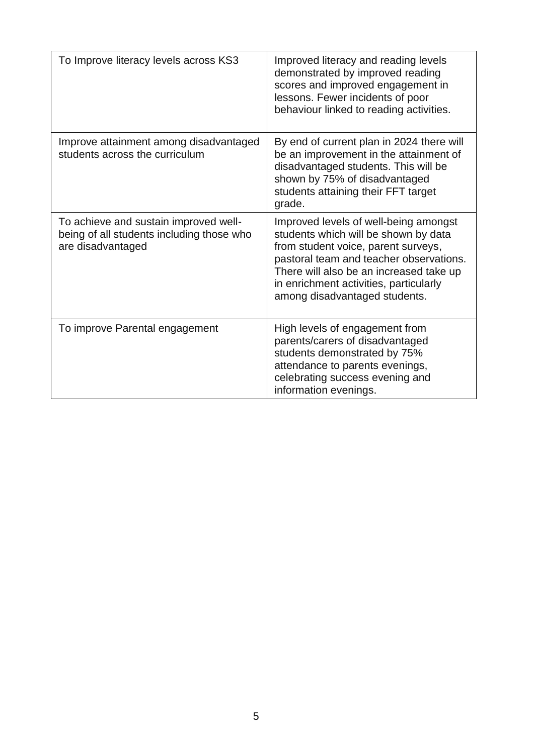| To Improve literacy levels across KS3                                                                   | Improved literacy and reading levels<br>demonstrated by improved reading<br>scores and improved engagement in<br>lessons. Fewer incidents of poor<br>behaviour linked to reading activities.                                                                                          |
|---------------------------------------------------------------------------------------------------------|---------------------------------------------------------------------------------------------------------------------------------------------------------------------------------------------------------------------------------------------------------------------------------------|
| Improve attainment among disadvantaged<br>students across the curriculum                                | By end of current plan in 2024 there will<br>be an improvement in the attainment of<br>disadvantaged students. This will be<br>shown by 75% of disadvantaged<br>students attaining their FFT target<br>grade.                                                                         |
| To achieve and sustain improved well-<br>being of all students including those who<br>are disadvantaged | Improved levels of well-being amongst<br>students which will be shown by data<br>from student voice, parent surveys,<br>pastoral team and teacher observations.<br>There will also be an increased take up<br>in enrichment activities, particularly<br>among disadvantaged students. |
| To improve Parental engagement                                                                          | High levels of engagement from<br>parents/carers of disadvantaged<br>students demonstrated by 75%<br>attendance to parents evenings,<br>celebrating success evening and<br>information evenings.                                                                                      |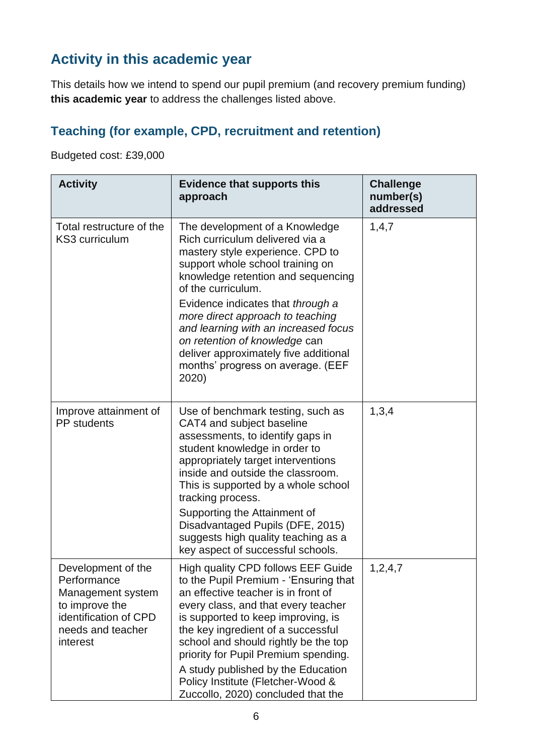## **Activity in this academic year**

This details how we intend to spend our pupil premium (and recovery premium funding) **this academic year** to address the challenges listed above.

## **Teaching (for example, CPD, recruitment and retention)**

Budgeted cost: £39,000

| <b>Activity</b>                                                                                                                    | <b>Evidence that supports this</b><br>approach                                                                                                                                                                                                                                                                                                                                                                                                 | <b>Challenge</b><br>number(s)<br>addressed |
|------------------------------------------------------------------------------------------------------------------------------------|------------------------------------------------------------------------------------------------------------------------------------------------------------------------------------------------------------------------------------------------------------------------------------------------------------------------------------------------------------------------------------------------------------------------------------------------|--------------------------------------------|
| Total restructure of the<br>KS3 curriculum                                                                                         | The development of a Knowledge<br>Rich curriculum delivered via a<br>mastery style experience. CPD to<br>support whole school training on<br>knowledge retention and sequencing<br>of the curriculum.<br>Evidence indicates that through a<br>more direct approach to teaching<br>and learning with an increased focus<br>on retention of knowledge can<br>deliver approximately five additional<br>months' progress on average. (EEF<br>2020) | 1,4,7                                      |
| Improve attainment of<br><b>PP</b> students                                                                                        | Use of benchmark testing, such as<br>CAT4 and subject baseline<br>assessments, to identify gaps in<br>student knowledge in order to<br>appropriately target interventions<br>inside and outside the classroom.<br>This is supported by a whole school<br>tracking process.<br>Supporting the Attainment of<br>Disadvantaged Pupils (DFE, 2015)<br>suggests high quality teaching as a<br>key aspect of successful schools.                     | 1,3,4                                      |
| Development of the<br>Performance<br>Management system<br>to improve the<br>identification of CPD<br>needs and teacher<br>interest | High quality CPD follows EEF Guide<br>to the Pupil Premium - 'Ensuring that<br>an effective teacher is in front of<br>every class, and that every teacher<br>is supported to keep improving, is<br>the key ingredient of a successful<br>school and should rightly be the top<br>priority for Pupil Premium spending.<br>A study published by the Education<br>Policy Institute (Fletcher-Wood &<br>Zuccollo, 2020) concluded that the         | 1,2,4,7                                    |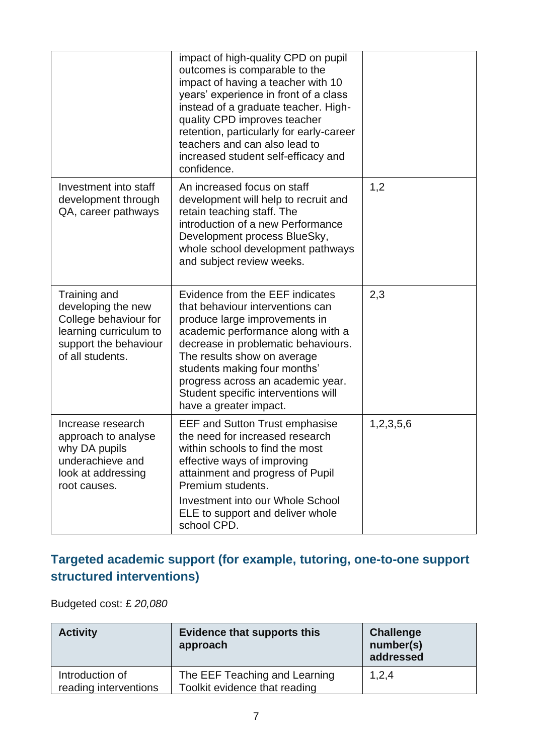|                                                                                                                                    | impact of high-quality CPD on pupil<br>outcomes is comparable to the<br>impact of having a teacher with 10<br>years' experience in front of a class<br>instead of a graduate teacher. High-<br>quality CPD improves teacher<br>retention, particularly for early-career<br>teachers and can also lead to<br>increased student self-efficacy and<br>confidence. |           |
|------------------------------------------------------------------------------------------------------------------------------------|----------------------------------------------------------------------------------------------------------------------------------------------------------------------------------------------------------------------------------------------------------------------------------------------------------------------------------------------------------------|-----------|
| Investment into staff<br>development through<br>QA, career pathways                                                                | An increased focus on staff<br>development will help to recruit and<br>retain teaching staff. The<br>introduction of a new Performance<br>Development process BlueSky,<br>whole school development pathways<br>and subject review weeks.                                                                                                                       | 1,2       |
| Training and<br>developing the new<br>College behaviour for<br>learning curriculum to<br>support the behaviour<br>of all students. | Evidence from the EEF indicates<br>that behaviour interventions can<br>produce large improvements in<br>academic performance along with a<br>decrease in problematic behaviours.<br>The results show on average<br>students making four months'<br>progress across an academic year.<br>Student specific interventions will<br>have a greater impact.          | 2,3       |
| Increase research<br>approach to analyse<br>why DA pupils<br>underachieve and<br>look at addressing<br>root causes.                | <b>EEF and Sutton Trust emphasise</b><br>the need for increased research<br>within schools to find the most<br>effective ways of improving<br>attainment and progress of Pupil<br>Premium students.<br><b>Investment into our Whole School</b><br>ELE to support and deliver whole<br>school CPD.                                                              | 1,2,3,5,6 |

#### **Targeted academic support (for example, tutoring, one-to-one support structured interventions)**

Budgeted cost: £ *20,080*

| <b>Activity</b>                          | <b>Evidence that supports this</b><br>approach                 | <b>Challenge</b><br>number(s)<br>addressed |
|------------------------------------------|----------------------------------------------------------------|--------------------------------------------|
| Introduction of<br>reading interventions | The EEF Teaching and Learning<br>Toolkit evidence that reading | 1,2,4                                      |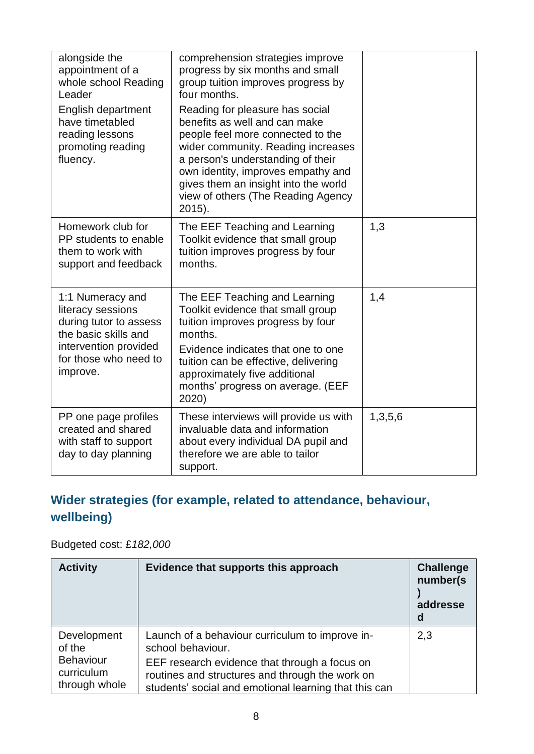| alongside the<br>appointment of a<br>whole school Reading<br>Leader                                                                                   | comprehension strategies improve<br>progress by six months and small<br>group tuition improves progress by<br>four months.                                                                                                                                                                                     |         |
|-------------------------------------------------------------------------------------------------------------------------------------------------------|----------------------------------------------------------------------------------------------------------------------------------------------------------------------------------------------------------------------------------------------------------------------------------------------------------------|---------|
| English department<br>have timetabled<br>reading lessons<br>promoting reading<br>fluency.                                                             | Reading for pleasure has social<br>benefits as well and can make<br>people feel more connected to the<br>wider community. Reading increases<br>a person's understanding of their<br>own identity, improves empathy and<br>gives them an insight into the world<br>view of others (The Reading Agency<br>2015). |         |
| Homework club for<br>PP students to enable<br>them to work with<br>support and feedback                                                               | The EEF Teaching and Learning<br>Toolkit evidence that small group<br>tuition improves progress by four<br>months.                                                                                                                                                                                             | 1,3     |
| 1:1 Numeracy and<br>literacy sessions<br>during tutor to assess<br>the basic skills and<br>intervention provided<br>for those who need to<br>improve. | The EEF Teaching and Learning<br>Toolkit evidence that small group<br>tuition improves progress by four<br>months.<br>Evidence indicates that one to one<br>tuition can be effective, delivering<br>approximately five additional<br>months' progress on average. (EEF<br>2020)                                | 1,4     |
| PP one page profiles<br>created and shared<br>with staff to support<br>day to day planning                                                            | These interviews will provide us with<br>invaluable data and information<br>about every individual DA pupil and<br>therefore we are able to tailor<br>support.                                                                                                                                                 | 1,3,5,6 |

### **Wider strategies (for example, related to attendance, behaviour, wellbeing)**

Budgeted cost: £*182,000*

| <b>Activity</b>                           | Evidence that supports this approach                                                                                                                      | <b>Challenge</b><br>number(s)<br>addresse<br>d |
|-------------------------------------------|-----------------------------------------------------------------------------------------------------------------------------------------------------------|------------------------------------------------|
| Development<br>of the<br><b>Behaviour</b> | Launch of a behaviour curriculum to improve in-<br>school behaviour.                                                                                      | 2,3                                            |
| curriculum<br>through whole               | EEF research evidence that through a focus on<br>routines and structures and through the work on<br>students' social and emotional learning that this can |                                                |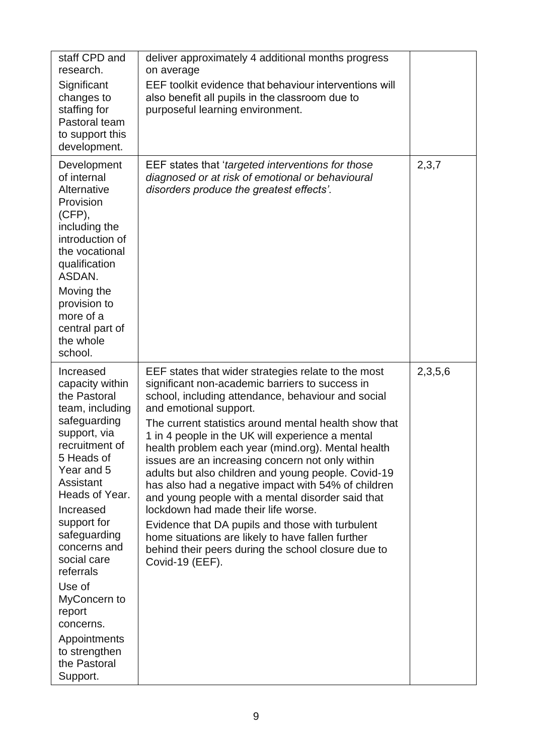| staff CPD and<br>research.<br>Significant<br>changes to<br>staffing for<br>Pastoral team<br>to support this<br>development.                                                                                                                                                                                                                                                        | deliver approximately 4 additional months progress<br>on average<br>EEF toolkit evidence that behaviour interventions will<br>also benefit all pupils in the classroom due to<br>purposeful learning environment.                                                                                                                                                                                                                                                                                                                                                                                                                                                                                                                                                                                          |         |
|------------------------------------------------------------------------------------------------------------------------------------------------------------------------------------------------------------------------------------------------------------------------------------------------------------------------------------------------------------------------------------|------------------------------------------------------------------------------------------------------------------------------------------------------------------------------------------------------------------------------------------------------------------------------------------------------------------------------------------------------------------------------------------------------------------------------------------------------------------------------------------------------------------------------------------------------------------------------------------------------------------------------------------------------------------------------------------------------------------------------------------------------------------------------------------------------------|---------|
| Development<br>of internal<br>Alternative<br>Provision<br>(CFP),<br>including the<br>introduction of<br>the vocational<br>qualification<br>ASDAN.<br>Moving the<br>provision to<br>more of a<br>central part of<br>the whole<br>school.                                                                                                                                            | EEF states that 'targeted interventions for those<br>diagnosed or at risk of emotional or behavioural<br>disorders produce the greatest effects'.                                                                                                                                                                                                                                                                                                                                                                                                                                                                                                                                                                                                                                                          | 2,3,7   |
| Increased<br>capacity within<br>the Pastoral<br>team, including<br>safeguarding<br>support, via<br>recruitment of<br>5 Heads of<br>Year and 5<br>Assistant<br>Heads of Year.<br>Increased<br>support for<br>safeguarding<br>concerns and<br>social care<br>referrals<br>Use of<br>MyConcern to<br>report<br>concerns.<br>Appointments<br>to strengthen<br>the Pastoral<br>Support. | EEF states that wider strategies relate to the most<br>significant non-academic barriers to success in<br>school, including attendance, behaviour and social<br>and emotional support.<br>The current statistics around mental health show that<br>1 in 4 people in the UK will experience a mental<br>health problem each year (mind.org). Mental health<br>issues are an increasing concern not only within<br>adults but also children and young people. Covid-19<br>has also had a negative impact with 54% of children<br>and young people with a mental disorder said that<br>lockdown had made their life worse.<br>Evidence that DA pupils and those with turbulent<br>home situations are likely to have fallen further<br>behind their peers during the school closure due to<br>Covid-19 (EEF). | 2,3,5,6 |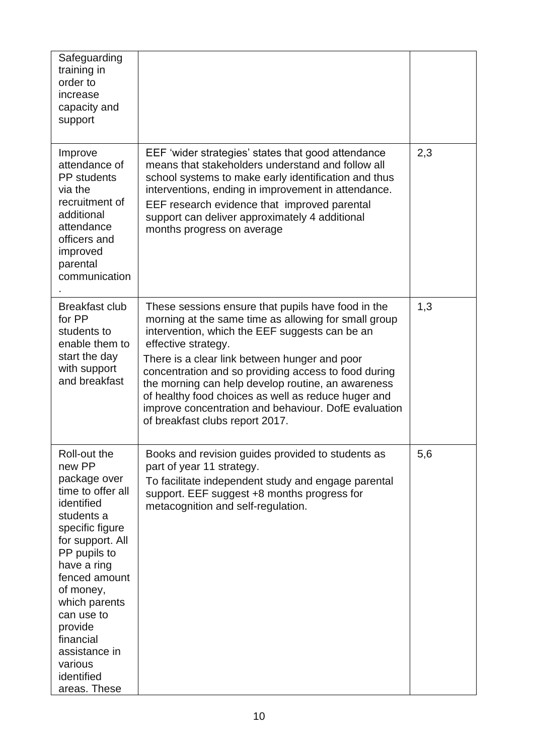| Safeguarding<br>training in<br>order to<br>increase<br>capacity and<br>support                                                                                                                                                                                                                               |                                                                                                                                                                                                                                                                                                                                                                                                                                                                                                      |     |
|--------------------------------------------------------------------------------------------------------------------------------------------------------------------------------------------------------------------------------------------------------------------------------------------------------------|------------------------------------------------------------------------------------------------------------------------------------------------------------------------------------------------------------------------------------------------------------------------------------------------------------------------------------------------------------------------------------------------------------------------------------------------------------------------------------------------------|-----|
| Improve<br>attendance of<br><b>PP</b> students<br>via the<br>recruitment of<br>additional<br>attendance<br>officers and<br>improved<br>parental<br>communication                                                                                                                                             | EEF 'wider strategies' states that good attendance<br>means that stakeholders understand and follow all<br>school systems to make early identification and thus<br>interventions, ending in improvement in attendance.<br>EEF research evidence that improved parental<br>support can deliver approximately 4 additional<br>months progress on average                                                                                                                                               | 2,3 |
| <b>Breakfast club</b><br>for PP<br>students to<br>enable them to<br>start the day<br>with support<br>and breakfast                                                                                                                                                                                           | These sessions ensure that pupils have food in the<br>morning at the same time as allowing for small group<br>intervention, which the EEF suggests can be an<br>effective strategy.<br>There is a clear link between hunger and poor<br>concentration and so providing access to food during<br>the morning can help develop routine, an awareness<br>of healthy food choices as well as reduce huger and<br>improve concentration and behaviour. DofE evaluation<br>of breakfast clubs report 2017. | 1,3 |
| Roll-out the<br>new PP<br>package over<br>time to offer all<br>identified<br>students a<br>specific figure<br>for support. All<br>PP pupils to<br>have a ring<br>fenced amount<br>of money,<br>which parents<br>can use to<br>provide<br>financial<br>assistance in<br>various<br>identified<br>areas. These | Books and revision guides provided to students as<br>part of year 11 strategy.<br>To facilitate independent study and engage parental<br>support. EEF suggest +8 months progress for<br>metacognition and self-regulation.                                                                                                                                                                                                                                                                           | 5,6 |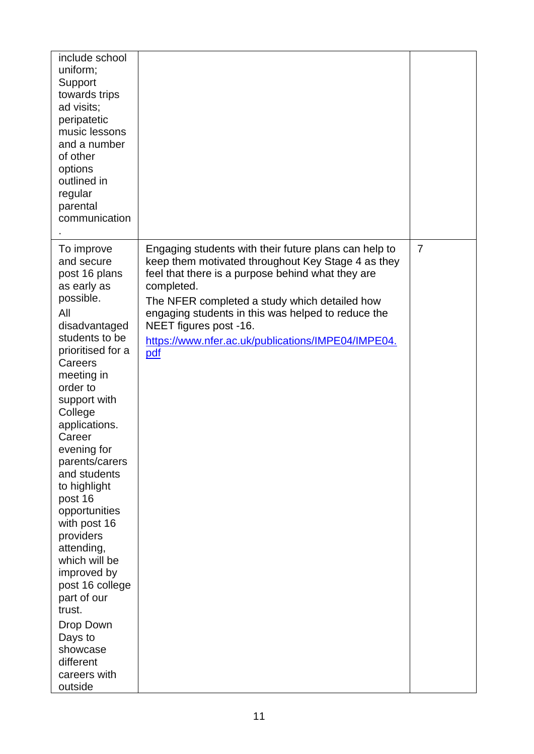| include school<br>uniform;<br>Support<br>towards trips<br>ad visits;<br>peripatetic<br>music lessons<br>and a number<br>of other<br>options<br>outlined in<br>regular<br>parental<br>communication                                                                                                                                                                                                                                                                                                                              |                                                                                                                                                                                                                                                                                                                                                                              |                |
|---------------------------------------------------------------------------------------------------------------------------------------------------------------------------------------------------------------------------------------------------------------------------------------------------------------------------------------------------------------------------------------------------------------------------------------------------------------------------------------------------------------------------------|------------------------------------------------------------------------------------------------------------------------------------------------------------------------------------------------------------------------------------------------------------------------------------------------------------------------------------------------------------------------------|----------------|
| To improve<br>and secure<br>post 16 plans<br>as early as<br>possible.<br>All<br>disadvantaged<br>students to be<br>prioritised for a<br>Careers<br>meeting in<br>order to<br>support with<br>College<br>applications.<br>Career<br>evening for<br>parents/carers<br>and students<br>to highlight<br>post 16<br>opportunities<br>with post 16<br>providers<br>attending,<br>which will be<br>improved by<br>post 16 college<br>part of our<br>trust.<br>Drop Down<br>Days to<br>showcase<br>different<br>careers with<br>outside | Engaging students with their future plans can help to<br>keep them motivated throughout Key Stage 4 as they<br>feel that there is a purpose behind what they are<br>completed.<br>The NFER completed a study which detailed how<br>engaging students in this was helped to reduce the<br>NEET figures post -16.<br>https://www.nfer.ac.uk/publications/IMPE04/IMPE04.<br>pdf | $\overline{7}$ |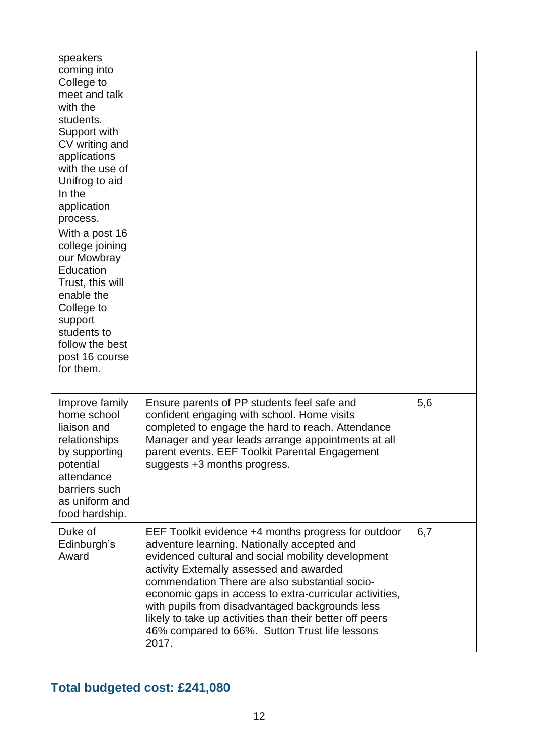| speakers<br>coming into<br>College to<br>meet and talk<br>with the<br>students.<br>Support with<br>CV writing and<br>applications<br>with the use of<br>Unifrog to aid<br>In the<br>application<br>process.<br>With a post 16<br>college joining<br>our Mowbray<br>Education<br>Trust, this will<br>enable the<br>College to<br>support<br>students to<br>follow the best<br>post 16 course<br>for them. |                                                                                                                                                                                                                                                                                                                                                                                                                                                                                             |     |
|----------------------------------------------------------------------------------------------------------------------------------------------------------------------------------------------------------------------------------------------------------------------------------------------------------------------------------------------------------------------------------------------------------|---------------------------------------------------------------------------------------------------------------------------------------------------------------------------------------------------------------------------------------------------------------------------------------------------------------------------------------------------------------------------------------------------------------------------------------------------------------------------------------------|-----|
| Improve family<br>home school<br>liaison and<br>relationships<br>by supporting<br>potential<br>attendance<br>barriers such<br>as uniform and<br>food hardship.                                                                                                                                                                                                                                           | Ensure parents of PP students feel safe and<br>confident engaging with school. Home visits<br>completed to engage the hard to reach. Attendance<br>Manager and year leads arrange appointments at all<br>parent events. EEF Toolkit Parental Engagement<br>suggests +3 months progress.                                                                                                                                                                                                     | 5,6 |
| Duke of<br>Edinburgh's<br>Award                                                                                                                                                                                                                                                                                                                                                                          | EEF Toolkit evidence +4 months progress for outdoor<br>adventure learning. Nationally accepted and<br>evidenced cultural and social mobility development<br>activity Externally assessed and awarded<br>commendation There are also substantial socio-<br>economic gaps in access to extra-curricular activities,<br>with pupils from disadvantaged backgrounds less<br>likely to take up activities than their better off peers<br>46% compared to 66%. Sutton Trust life lessons<br>2017. | 6,7 |

### **Total budgeted cost: £241,080**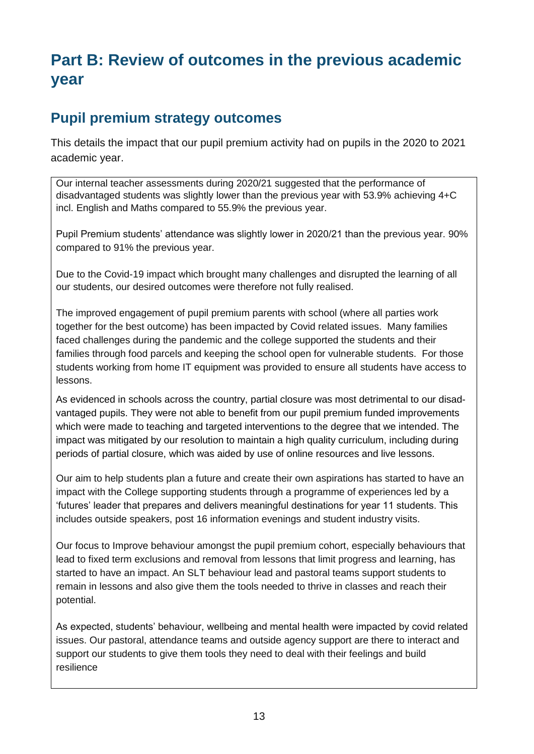## **Part B: Review of outcomes in the previous academic year**

#### **Pupil premium strategy outcomes**

This details the impact that our pupil premium activity had on pupils in the 2020 to 2021 academic year.

Our internal teacher assessments during 2020/21 suggested that the performance of disadvantaged students was slightly lower than the previous year with 53.9% achieving 4+C incl. English and Maths compared to 55.9% the previous year.

Pupil Premium students' attendance was slightly lower in 2020/21 than the previous year. 90% compared to 91% the previous year.

Due to the Covid-19 impact which brought many challenges and disrupted the learning of all our students, our desired outcomes were therefore not fully realised.

The improved engagement of pupil premium parents with school (where all parties work together for the best outcome) has been impacted by Covid related issues. Many families faced challenges during the pandemic and the college supported the students and their families through food parcels and keeping the school open for vulnerable students. For those students working from home IT equipment was provided to ensure all students have access to lessons.

As evidenced in schools across the country, partial closure was most detrimental to our disadvantaged pupils. They were not able to benefit from our pupil premium funded improvements which were made to teaching and targeted interventions to the degree that we intended. The impact was mitigated by our resolution to maintain a high quality curriculum, including during periods of partial closure, which was aided by use of online resources and live lessons.

Our aim to help students plan a future and create their own aspirations has started to have an impact with the College supporting students through a programme of experiences led by a 'futures' leader that prepares and delivers meaningful destinations for year 11 students. This includes outside speakers, post 16 information evenings and student industry visits.

Our focus to Improve behaviour amongst the pupil premium cohort, especially behaviours that lead to fixed term exclusions and removal from lessons that limit progress and learning, has started to have an impact. An SLT behaviour lead and pastoral teams support students to remain in lessons and also give them the tools needed to thrive in classes and reach their potential.

As expected, students' behaviour, wellbeing and mental health were impacted by covid related issues. Our pastoral, attendance teams and outside agency support are there to interact and support our students to give them tools they need to deal with their feelings and build resilience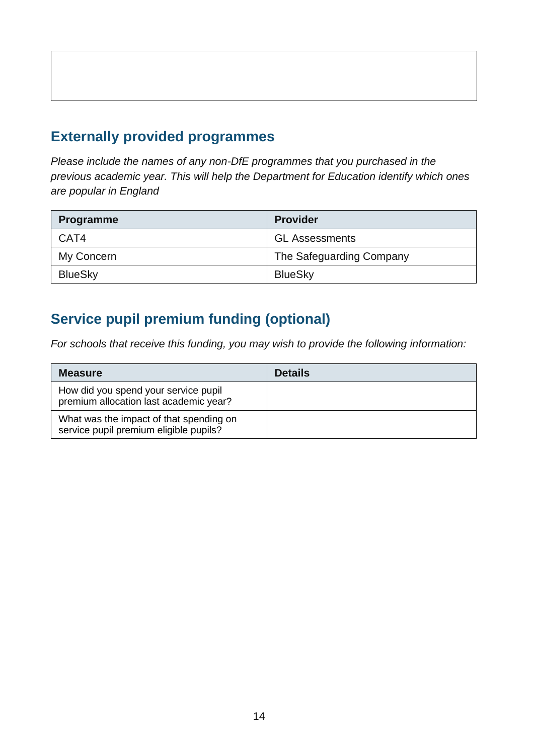### **Externally provided programmes**

*Please include the names of any non-DfE programmes that you purchased in the previous academic year. This will help the Department for Education identify which ones are popular in England*

| <b>Programme</b> | <b>Provider</b>          |  |
|------------------|--------------------------|--|
| CAT4             | <b>GL Assessments</b>    |  |
| My Concern       | The Safeguarding Company |  |
| <b>BlueSky</b>   | <b>BlueSky</b>           |  |

## **Service pupil premium funding (optional)**

*For schools that receive this funding, you may wish to provide the following information:* 

| <b>Measure</b>                                                                    | <b>Details</b> |
|-----------------------------------------------------------------------------------|----------------|
| How did you spend your service pupil<br>premium allocation last academic year?    |                |
| What was the impact of that spending on<br>service pupil premium eligible pupils? |                |